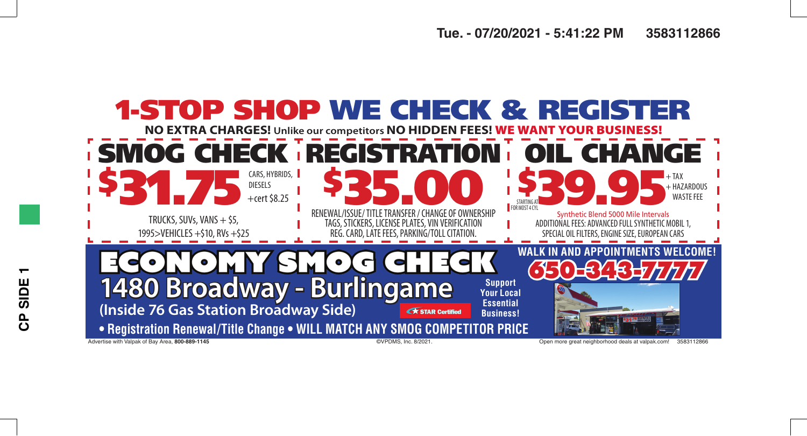